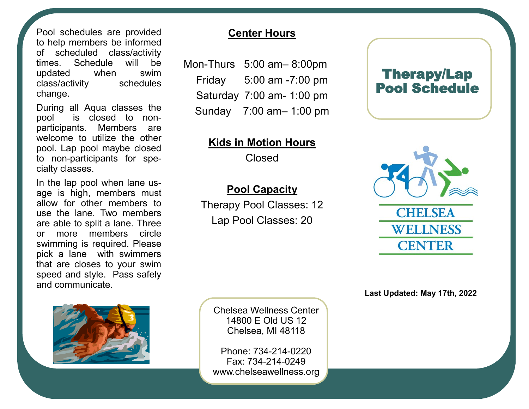Pool schedules are provided to help members be informed of scheduled class/activity times. Schedule will be updated when swim class/activity schedules change.

During all Aqua classes the pool is closed to nonparticipants. Members are welcome to utilize the other pool. Lap pool maybe closed to non-participants for specialty classes.

In the lap pool when lane usage is high, members must allow for other members to use the lane. Two members are able to split a lane. Three or more members circle swimming is required. Please pick a lane with swimmers that are closes to your swim speed and style. Pass safely and communicate.



## **Center Hours**

Mon-Thurs 5:00 am– 8:00pm Friday 5:00 am -7:00 pm Saturday 7:00 am- 1:00 pm Sunday 7:00 am– 1:00 pm

## **Kids in Motion Hours**

Closed

## **Pool Capacity**

Therapy Pool Classes: 12 Lap Pool Classes: 20





**Last Updated: May 17th, 2022**

Chelsea Wellness Center 14800 E Old US 12 Chelsea, MI 48118

Phone: 734-214-0220 Fax: 734-214-0249 www.chelseawellness.org